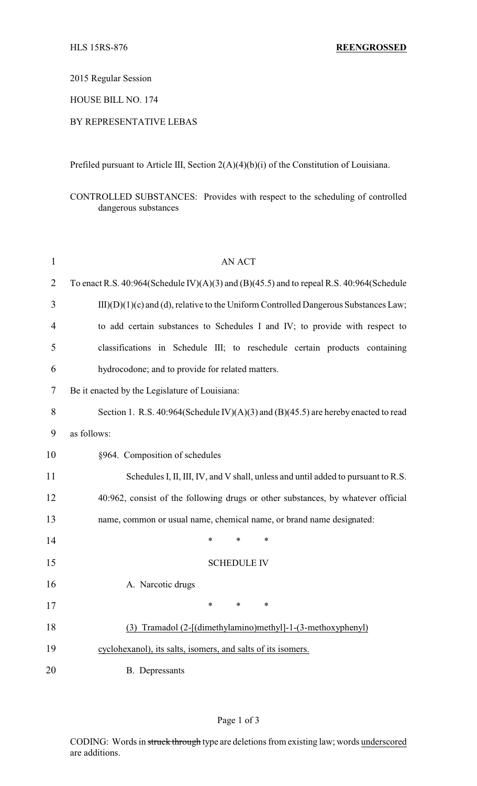2015 Regular Session

HOUSE BILL NO. 174

## BY REPRESENTATIVE LEBAS

Prefiled pursuant to Article III, Section 2(A)(4)(b)(i) of the Constitution of Louisiana.

CONTROLLED SUBSTANCES: Provides with respect to the scheduling of controlled dangerous substances

| $\mathbf{1}$   | <b>AN ACT</b>                                                                            |  |  |  |
|----------------|------------------------------------------------------------------------------------------|--|--|--|
| $\overline{2}$ | To enact R.S. 40:964(Schedule IV)(A)(3) and (B)(45.5) and to repeal R.S. 40:964(Schedule |  |  |  |
| 3              | $III)(D)(1)(c)$ and (d), relative to the Uniform Controlled Dangerous Substances Law;    |  |  |  |
| $\overline{4}$ | to add certain substances to Schedules I and IV; to provide with respect to              |  |  |  |
| 5              | classifications in Schedule III; to reschedule certain products containing               |  |  |  |
| 6              | hydrocodone; and to provide for related matters.                                         |  |  |  |
| 7              | Be it enacted by the Legislature of Louisiana:                                           |  |  |  |
| 8              | Section 1. R.S. 40:964(Schedule IV)(A)(3) and (B)(45.5) are hereby enacted to read       |  |  |  |
| 9              | as follows:                                                                              |  |  |  |
| 10             | §964. Composition of schedules                                                           |  |  |  |
| 11             | Schedules I, II, III, IV, and V shall, unless and until added to pursuant to R.S.        |  |  |  |
| 12             | 40:962, consist of the following drugs or other substances, by whatever official         |  |  |  |
| 13             | name, common or usual name, chemical name, or brand name designated:                     |  |  |  |
| 14             | *<br>*<br>$\ast$                                                                         |  |  |  |
| 15             | <b>SCHEDULE IV</b>                                                                       |  |  |  |
| 16             | A. Narcotic drugs                                                                        |  |  |  |
| 17             | ∗<br>∗<br>∗                                                                              |  |  |  |
| 18             | (3) Tramadol (2-[(dimethylamino)methyl]-1-(3-methoxyphenyl)                              |  |  |  |
| 19             | cyclohexanol), its salts, isomers, and salts of its isomers.                             |  |  |  |
| 20             | <b>B.</b> Depressants                                                                    |  |  |  |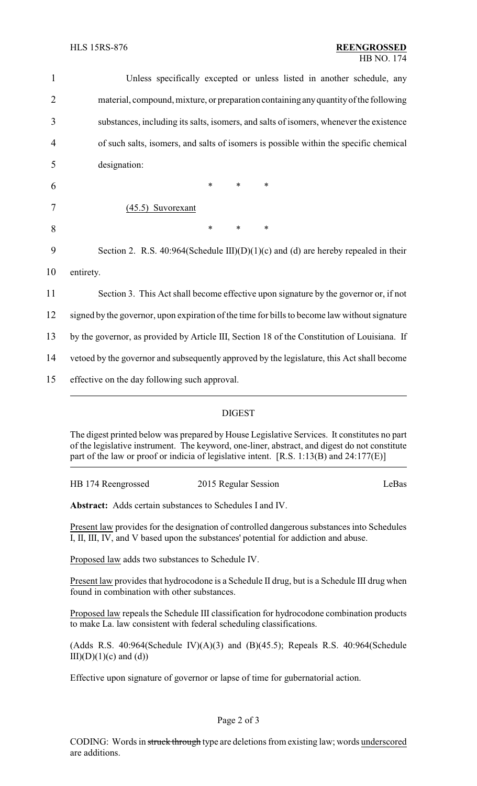| $\mathbf{1}$   | Unless specifically excepted or unless listed in another schedule, any                        |  |  |
|----------------|-----------------------------------------------------------------------------------------------|--|--|
| $\overline{2}$ | material, compound, mixture, or preparation containing any quantity of the following          |  |  |
| 3              | substances, including its salts, isomers, and salts of isomers, whenever the existence        |  |  |
| 4              | of such salts, isomers, and salts of isomers is possible within the specific chemical         |  |  |
| 5              | designation:                                                                                  |  |  |
| 6              | $\ast$<br>∗<br>$\ast$                                                                         |  |  |
| 7              | $(45.5)$ Suvorexant                                                                           |  |  |
| 8              | $\ast$<br>$\ast$<br>$\ast$                                                                    |  |  |
| 9              | Section 2. R.S. 40:964(Schedule III)(D)(1)(c) and (d) are hereby repealed in their            |  |  |
| 10             | entirety.                                                                                     |  |  |
| 11             | Section 3. This Act shall become effective upon signature by the governor or, if not          |  |  |
| 12             | signed by the governor, upon expiration of the time for bills to become law without signature |  |  |
| 13             | by the governor, as provided by Article III, Section 18 of the Constitution of Louisiana. If  |  |  |
| 14             | vetoed by the governor and subsequently approved by the legislature, this Act shall become    |  |  |
| 15             | effective on the day following such approval.                                                 |  |  |
|                |                                                                                               |  |  |

## DIGEST

The digest printed below was prepared by House Legislative Services. It constitutes no part of the legislative instrument. The keyword, one-liner, abstract, and digest do not constitute part of the law or proof or indicia of legislative intent. [R.S. 1:13(B) and 24:177(E)]

| HB 174 Reengrossed | 2015 Regular Session | LeBas |
|--------------------|----------------------|-------|
|                    |                      |       |

**Abstract:** Adds certain substances to Schedules I and IV.

Present law provides for the designation of controlled dangerous substances into Schedules I, II, III, IV, and V based upon the substances' potential for addiction and abuse.

Proposed law adds two substances to Schedule IV.

Present law provides that hydrocodone is a Schedule II drug, but is a Schedule III drug when found in combination with other substances.

Proposed law repeals the Schedule III classification for hydrocodone combination products to make La. law consistent with federal scheduling classifications.

(Adds R.S. 40:964(Schedule IV)(A)(3) and (B)(45.5); Repeals R.S. 40:964(Schedule  $III)(D)(1)(c)$  and  $(d))$ 

Effective upon signature of governor or lapse of time for gubernatorial action.